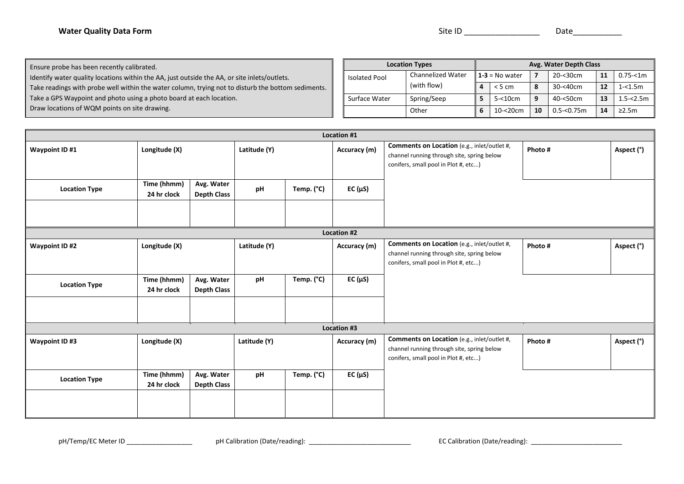| <b>Water Quality Data Form</b> | Site ID | Date |
|--------------------------------|---------|------|
|--------------------------------|---------|------|

Ensure probe has been recently calibrated.

Identify water quality locations within the AA, just outside the AA, or site inlets/outlets.

Take readings with probe well within the water column, trying not to disturb the bottom sediments.

Take a GPS Waypoint and photo using a photo board at each location.

Draw locations of WQM points on site drawing.

| <b>Location Types</b> |                          |                  | Avg. Water Depth Class |    |                |    |              |  |
|-----------------------|--------------------------|------------------|------------------------|----|----------------|----|--------------|--|
| <b>Isolated Pool</b>  | <b>Channelized Water</b> | $1-3 = No water$ |                        | 7  | $20 - 30$ cm   | 11 | $0.75 - 1m$  |  |
|                       | (with flow)              | Δ                | < 5 cm                 | 8  | 30-<40cm       | 12 | $1 - 1.5m$   |  |
| Surface Water         | Spring/Seep              |                  | $5 - 10$ cm            | 9  | 40-<50cm       | 13 | $1.5 - 2.5m$ |  |
|                       | Other                    | 6                | $10 - 20$ cm           | 10 | $0.5 - 0.75$ m | 14 | $\geq$ 2.5m  |  |

|                       | Location #1                |                                  |              |            |                    |                                                                                                                                          |         |            |  |
|-----------------------|----------------------------|----------------------------------|--------------|------------|--------------------|------------------------------------------------------------------------------------------------------------------------------------------|---------|------------|--|
| Waypoint ID #1        | Longitude (X)              |                                  | Latitude (Y) |            | Accuracy (m)       | Comments on Location (e.g., inlet/outlet #,<br>channel running through site, spring below<br>conifers, small pool in Plot #, etc)        | Photo # | Aspect (°) |  |
| <b>Location Type</b>  | Time (hhmm)<br>24 hr clock | Avg. Water<br><b>Depth Class</b> | pH           | Temp. (°C) | $EC(\mu S)$        |                                                                                                                                          |         |            |  |
|                       |                            |                                  |              |            | <b>Location #2</b> |                                                                                                                                          |         |            |  |
| Waypoint ID #2        | Longitude (X)              |                                  | Latitude (Y) |            | Accuracy (m)       | <b>Comments on Location</b> (e.g., inlet/outlet #,<br>channel running through site, spring below<br>conifers, small pool in Plot #, etc) | Photo # | Aspect (°) |  |
| <b>Location Type</b>  | Time (hhmm)<br>24 hr clock | Avg. Water<br><b>Depth Class</b> | pH           | Temp. (°C) | $EC(\mu S)$        |                                                                                                                                          |         |            |  |
|                       |                            |                                  |              |            | Location #3        |                                                                                                                                          |         |            |  |
| <b>Waypoint ID #3</b> | Longitude (X)              |                                  | Latitude (Y) |            | Accuracy (m)       | Comments on Location (e.g., inlet/outlet #,<br>channel running through site, spring below<br>conifers, small pool in Plot #, etc)        | Photo # | Aspect (°) |  |
| <b>Location Type</b>  | Time (hhmm)<br>24 hr clock | Avg. Water<br><b>Depth Class</b> | pH           | Temp. (°C) | EC $(\mu S)$       |                                                                                                                                          |         |            |  |
|                       |                            |                                  |              |            |                    |                                                                                                                                          |         |            |  |

pH/Temp/EC Meter ID \_\_\_\_\_\_\_\_\_\_\_\_\_\_\_\_\_\_ pH Calibration (Date/reading): \_\_\_\_\_\_\_\_\_\_\_\_\_\_\_\_\_\_\_\_\_\_\_\_\_\_\_\_ EC Calibration (Date/reading): \_\_\_\_\_\_\_\_\_\_\_\_\_\_\_\_\_\_\_\_\_\_\_\_\_